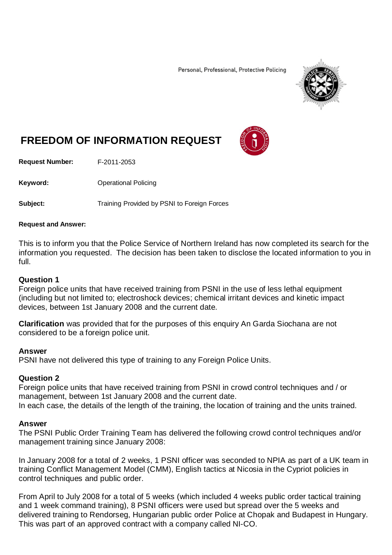Personal, Professional, Protective Policing



# **FREEDOM OF INFORMATION REQUEST**

**Request Number:** F-2011-2053

Keyword: **Calcular Contract Contract Contract Contract Contract Contract Contract Contract Contract Contract Contract Contract Contract Contract Contract Contract Contract Contract Contract Contract Contract Contract Contr** 

**Subject:** Training Provided by PSNI to Foreign Forces

#### **Request and Answer:**

This is to inform you that the Police Service of Northern Ireland has now completed its search for the information you requested. The decision has been taken to disclose the located information to you in full.

### **Question 1**

Foreign police units that have received training from PSNI in the use of less lethal equipment (including but not limited to; electroshock devices; chemical irritant devices and kinetic impact devices, between 1st January 2008 and the current date.

**Clarification** was provided that for the purposes of this enquiry An Garda Siochana are not considered to be a foreign police unit.

#### **Answer**

PSNI have not delivered this type of training to any Foreign Police Units.

### **Question 2**

Foreign police units that have received training from PSNI in crowd control techniques and / or management, between 1st January 2008 and the current date. In each case, the details of the length of the training, the location of training and the units trained.

### **Answer**

The PSNI Public Order Training Team has delivered the following crowd control techniques and/or management training since January 2008:

In January 2008 for a total of 2 weeks, 1 PSNI officer was seconded to NPIA as part of a UK team in training Conflict Management Model (CMM), English tactics at Nicosia in the Cypriot policies in control techniques and public order.

From April to July 2008 for a total of 5 weeks (which included 4 weeks public order tactical training and 1 week command training), 8 PSNI officers were used but spread over the 5 weeks and delivered training to Rendorseg, Hungarian public order Police at Chopak and Budapest in Hungary. This was part of an approved contract with a company called NI-CO.